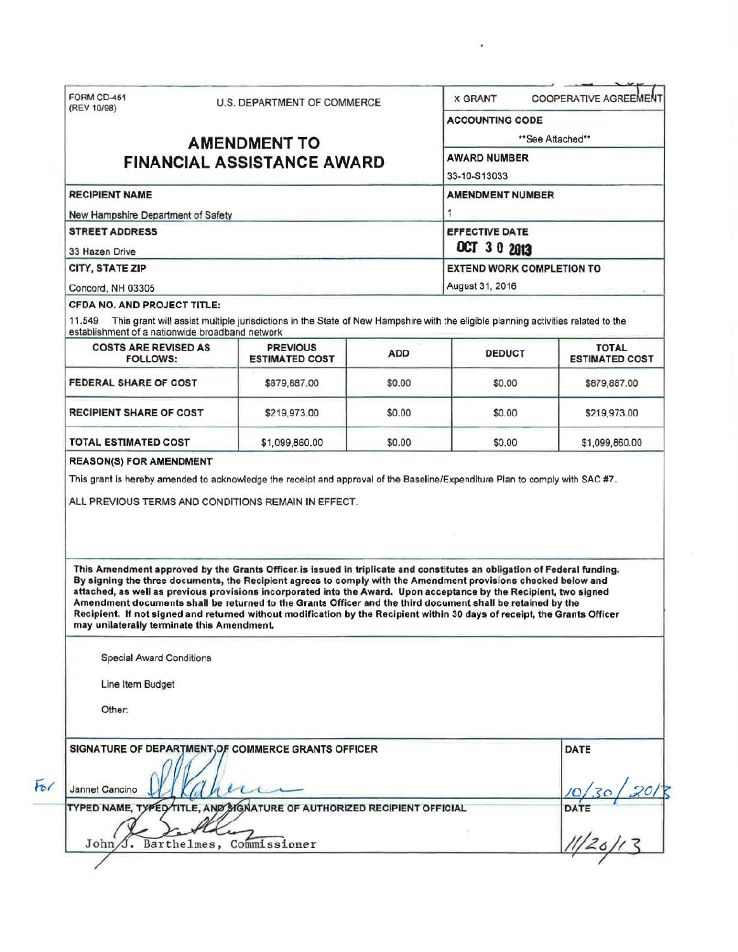|                                                               | FORM CD-451<br>U.S. DEPARTMENT OF COMMERCE<br>(REV 10/98) |                                                                                                                                                                                                                                                                                                                                                                                                                                                                                  |                     | <b>COOPERATIVE AGREEMENT</b><br><b>X GRANT</b>  |                       |  |
|---------------------------------------------------------------|-----------------------------------------------------------|----------------------------------------------------------------------------------------------------------------------------------------------------------------------------------------------------------------------------------------------------------------------------------------------------------------------------------------------------------------------------------------------------------------------------------------------------------------------------------|---------------------|-------------------------------------------------|-----------------------|--|
|                                                               |                                                           |                                                                                                                                                                                                                                                                                                                                                                                                                                                                                  |                     | <b>ACCOUNTING CODE</b>                          |                       |  |
|                                                               |                                                           | <b>AMENDMENT TO</b>                                                                                                                                                                                                                                                                                                                                                                                                                                                              |                     |                                                 | **See Attached**      |  |
| <b>FINANCIAL ASSISTANCE AWARD</b>                             |                                                           |                                                                                                                                                                                                                                                                                                                                                                                                                                                                                  | <b>AWARD NUMBER</b> |                                                 |                       |  |
|                                                               |                                                           |                                                                                                                                                                                                                                                                                                                                                                                                                                                                                  |                     | 33-10-S13033                                    |                       |  |
| <b>RECIPIENT NAME</b>                                         |                                                           |                                                                                                                                                                                                                                                                                                                                                                                                                                                                                  |                     | <b>AMENDMENT NUMBER</b>                         |                       |  |
|                                                               | New Hampshire Department of Safety                        |                                                                                                                                                                                                                                                                                                                                                                                                                                                                                  |                     |                                                 |                       |  |
| <b>STREET ADDRESS</b>                                         |                                                           |                                                                                                                                                                                                                                                                                                                                                                                                                                                                                  |                     | <b>EFFECTIVE DATE</b>                           |                       |  |
| 33 Hazen Drive                                                |                                                           |                                                                                                                                                                                                                                                                                                                                                                                                                                                                                  |                     | OCT 30 2013<br><b>EXTEND WORK COMPLETION TO</b> |                       |  |
| CITY, STATE ZIP                                               |                                                           |                                                                                                                                                                                                                                                                                                                                                                                                                                                                                  |                     |                                                 |                       |  |
| Concord, NH 03305                                             |                                                           |                                                                                                                                                                                                                                                                                                                                                                                                                                                                                  |                     | August 31, 2016                                 |                       |  |
| CFDA NO. AND PROJECT TITLE:                                   |                                                           |                                                                                                                                                                                                                                                                                                                                                                                                                                                                                  |                     |                                                 |                       |  |
| establishment of a nationwide broadband network               |                                                           | 11.549 This grant will assist multiple jurisdictions in the State of New Hampshire with the eligible planning activities related to the                                                                                                                                                                                                                                                                                                                                          |                     |                                                 |                       |  |
| <b>COSTS ARE REVISED AS</b>                                   |                                                           | <b>PREVIOUS</b>                                                                                                                                                                                                                                                                                                                                                                                                                                                                  |                     | <b>TOTAL</b>                                    |                       |  |
| <b>FOLLOWS:</b>                                               |                                                           | <b>ESTIMATED COST</b>                                                                                                                                                                                                                                                                                                                                                                                                                                                            | <b>ADD</b>          | <b>DEDUCT</b>                                   | <b>ESTIMATED COST</b> |  |
| FEDERAL SHARE OF COST                                         |                                                           | \$879,887.00                                                                                                                                                                                                                                                                                                                                                                                                                                                                     | \$0.00              | \$0.00                                          | \$879,887.00          |  |
| RECIPIENT SHARE OF COST                                       |                                                           | \$219,973.00                                                                                                                                                                                                                                                                                                                                                                                                                                                                     | \$0.00              | \$0.00                                          | \$219,973.00          |  |
|                                                               |                                                           |                                                                                                                                                                                                                                                                                                                                                                                                                                                                                  |                     |                                                 |                       |  |
| <b>TOTAL ESTIMATED COST</b><br><b>REASON(S) FOR AMENDMENT</b> |                                                           | \$1,099,860.00<br>This grant is hereby amended to acknowledge the receipt and approval of the Baseline/Expenditure Plan to comply with SAC #7.<br>ALL PREVIOUS TERMS AND CONDITIONS REMAIN IN EFFECT.                                                                                                                                                                                                                                                                            | \$0.00              | \$0.00                                          |                       |  |
|                                                               |                                                           | This Amendment approved by the Grants Officer is issued in triplicate and constitutes an obligation of Federal funding.                                                                                                                                                                                                                                                                                                                                                          |                     |                                                 | \$1,099,860.00        |  |
| may unilaterally terminate this Amendment.                    |                                                           | By signing the three documents, the Recipient agrees to comply with the Amendment provisions checked below and<br>attached, as well as previous provisions incorporated into the Award. Upon acceptance by the Recipient, two signed<br>Amendment documents shall be returned to the Grants Officer and the third document shall be retained by the<br>Recipient. If not signed and returned without modification by the Recipient within 30 days of receipt, the Grants Officer |                     |                                                 |                       |  |
| <b>Special Award Conditions</b>                               |                                                           |                                                                                                                                                                                                                                                                                                                                                                                                                                                                                  |                     |                                                 |                       |  |
| Line Item Budget                                              |                                                           |                                                                                                                                                                                                                                                                                                                                                                                                                                                                                  |                     |                                                 |                       |  |
| Other:                                                        |                                                           |                                                                                                                                                                                                                                                                                                                                                                                                                                                                                  |                     |                                                 |                       |  |
|                                                               |                                                           |                                                                                                                                                                                                                                                                                                                                                                                                                                                                                  |                     |                                                 | DATE                  |  |
|                                                               |                                                           | SIGNATURE OF DEPARTMENT, OF COMMERCE GRANTS OFFICER                                                                                                                                                                                                                                                                                                                                                                                                                              |                     |                                                 |                       |  |
| Jannet Cancino                                                |                                                           |                                                                                                                                                                                                                                                                                                                                                                                                                                                                                  |                     |                                                 |                       |  |
|                                                               |                                                           | TYPED NAME, TYPED TITLE, AND SIGNATURE OF AUTHORIZED RECIPIENT OFFICIAL                                                                                                                                                                                                                                                                                                                                                                                                          |                     |                                                 | DATE                  |  |

×,